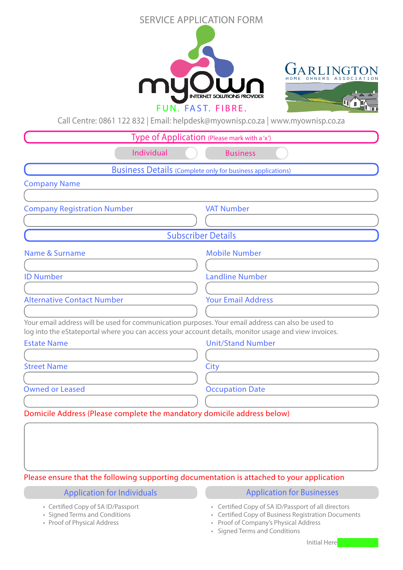## SERVICE APPLICATION FORM





Call Centre: 0861 122 832 | Email: helpdesk@myownisp.co.za | www.myownisp.co.za

| Type of Application (Please mark with a'x')                                                                                                                                                                 |                                                                   |  |  |  |  |  |
|-------------------------------------------------------------------------------------------------------------------------------------------------------------------------------------------------------------|-------------------------------------------------------------------|--|--|--|--|--|
| Individual                                                                                                                                                                                                  | <b>Business</b>                                                   |  |  |  |  |  |
|                                                                                                                                                                                                             | <b>Business Details (Complete only for business applications)</b> |  |  |  |  |  |
| <b>Company Name</b>                                                                                                                                                                                         |                                                                   |  |  |  |  |  |
|                                                                                                                                                                                                             |                                                                   |  |  |  |  |  |
| <b>Company Registration Number</b>                                                                                                                                                                          | <b>VAT Number</b>                                                 |  |  |  |  |  |
|                                                                                                                                                                                                             |                                                                   |  |  |  |  |  |
|                                                                                                                                                                                                             | <b>Subscriber Details</b>                                         |  |  |  |  |  |
| <b>Name &amp; Surname</b>                                                                                                                                                                                   | <b>Mobile Number</b>                                              |  |  |  |  |  |
|                                                                                                                                                                                                             |                                                                   |  |  |  |  |  |
| <b>ID Number</b>                                                                                                                                                                                            | <b>Landline Number</b>                                            |  |  |  |  |  |
|                                                                                                                                                                                                             |                                                                   |  |  |  |  |  |
| <b>Alternative Contact Number</b>                                                                                                                                                                           | <b>Your Email Address</b>                                         |  |  |  |  |  |
|                                                                                                                                                                                                             |                                                                   |  |  |  |  |  |
| Your email address will be used for communication purposes. Your email address can also be used to<br>log into the eStateportal where you can access your account details, monitor usage and view invoices. |                                                                   |  |  |  |  |  |
| <b>Estate Name</b>                                                                                                                                                                                          | <b>Unit/Stand Number</b>                                          |  |  |  |  |  |
|                                                                                                                                                                                                             |                                                                   |  |  |  |  |  |
| <b>Street Name</b>                                                                                                                                                                                          | City                                                              |  |  |  |  |  |
|                                                                                                                                                                                                             |                                                                   |  |  |  |  |  |
| <b>Owned or Leased</b>                                                                                                                                                                                      | <b>Occupation Date</b>                                            |  |  |  |  |  |
|                                                                                                                                                                                                             |                                                                   |  |  |  |  |  |
| Domicile Address (Please complete the mandatory domicile address below)                                                                                                                                     |                                                                   |  |  |  |  |  |
|                                                                                                                                                                                                             |                                                                   |  |  |  |  |  |
|                                                                                                                                                                                                             |                                                                   |  |  |  |  |  |
|                                                                                                                                                                                                             |                                                                   |  |  |  |  |  |

## Please ensure that the following supporting documentation is attached to your application

- Certified Copy of SA ID/Passport
- Signed Terms and Conditions
- Proof of Physical Address
- Application for Individuals Application for Businesses
	- Certified Copy of SA ID/Passport of all directors
	- Certified Copy of Business Registration Documents
	- Proof of Company's Physical Address
	- Signed Terms and Conditions